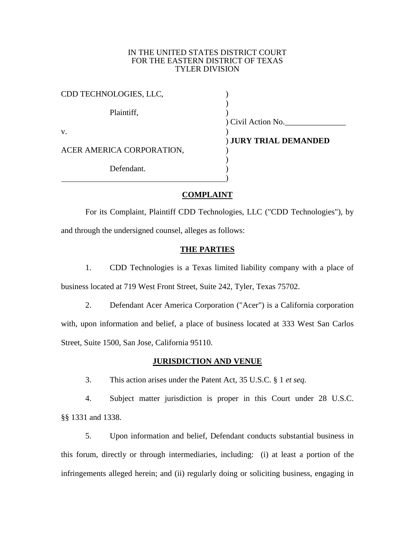## IN THE UNITED STATES DISTRICT COURT FOR THE EASTERN DISTRICT OF TEXAS TYLER DIVISION

| CDD TECHNOLOGIES, LLC,    |                       |
|---------------------------|-----------------------|
|                           |                       |
| Plaintiff,                |                       |
|                           | Civil Action No.      |
| V.                        |                       |
|                           | ) JURY TRIAL DEMANDED |
| ACER AMERICA CORPORATION, |                       |
|                           |                       |
| Defendant.                |                       |
|                           |                       |

## **COMPLAINT**

For its Complaint, Plaintiff CDD Technologies, LLC ("CDD Technologies"), by and through the undersigned counsel, alleges as follows:

## **THE PARTIES**

1. CDD Technologies is a Texas limited liability company with a place of business located at 719 West Front Street, Suite 242, Tyler, Texas 75702.

2. Defendant Acer America Corporation ("Acer") is a California corporation with, upon information and belief, a place of business located at 333 West San Carlos Street, Suite 1500, San Jose, California 95110.

## **JURISDICTION AND VENUE**

3. This action arises under the Patent Act, 35 U.S.C. § 1 *et seq.*

4. Subject matter jurisdiction is proper in this Court under 28 U.S.C. §§ 1331 and 1338.

5. Upon information and belief, Defendant conducts substantial business in this forum, directly or through intermediaries, including: (i) at least a portion of the infringements alleged herein; and (ii) regularly doing or soliciting business, engaging in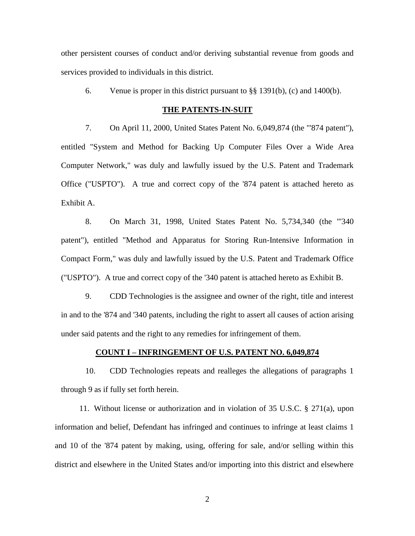other persistent courses of conduct and/or deriving substantial revenue from goods and services provided to individuals in this district.

6. Venue is proper in this district pursuant to  $\S$ § 1391(b), (c) and 1400(b).

### **THE PATENTS-IN-SUIT**

7. On April 11, 2000, United States Patent No. 6,049,874 (the "'874 patent"), entitled "System and Method for Backing Up Computer Files Over a Wide Area Computer Network," was duly and lawfully issued by the U.S. Patent and Trademark Office ("USPTO"). A true and correct copy of the '874 patent is attached hereto as Exhibit A.

8. On March 31, 1998, United States Patent No. 5,734,340 (the "'340 patent"), entitled "Method and Apparatus for Storing Run-Intensive Information in Compact Form," was duly and lawfully issued by the U.S. Patent and Trademark Office ("USPTO"). A true and correct copy of the '340 patent is attached hereto as Exhibit B.

9. CDD Technologies is the assignee and owner of the right, title and interest in and to the '874 and '340 patents, including the right to assert all causes of action arising under said patents and the right to any remedies for infringement of them.

# **COUNT I – INFRINGEMENT OF U.S. PATENT NO. 6,049,874**

10. CDD Technologies repeats and realleges the allegations of paragraphs 1 through 9 as if fully set forth herein.

11. Without license or authorization and in violation of 35 U.S.C. § 271(a), upon information and belief, Defendant has infringed and continues to infringe at least claims 1 and 10 of the '874 patent by making, using, offering for sale, and/or selling within this district and elsewhere in the United States and/or importing into this district and elsewhere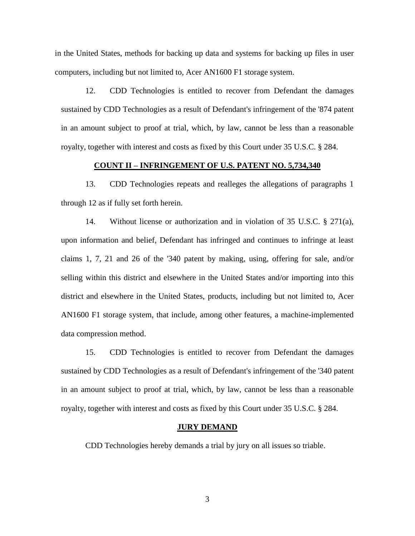in the United States, methods for backing up data and systems for backing up files in user computers, including but not limited to, Acer AN1600 F1 storage system.

12. CDD Technologies is entitled to recover from Defendant the damages sustained by CDD Technologies as a result of Defendant's infringement of the '874 patent in an amount subject to proof at trial, which, by law, cannot be less than a reasonable royalty, together with interest and costs as fixed by this Court under 35 U.S.C. § 284.

### **COUNT II – INFRINGEMENT OF U.S. PATENT NO. 5,734,340**

13. CDD Technologies repeats and realleges the allegations of paragraphs 1 through 12 as if fully set forth herein.

14. Without license or authorization and in violation of 35 U.S.C. § 271(a), upon information and belief, Defendant has infringed and continues to infringe at least claims 1, 7, 21 and 26 of the '340 patent by making, using, offering for sale, and/or selling within this district and elsewhere in the United States and/or importing into this district and elsewhere in the United States, products, including but not limited to, Acer AN1600 F1 storage system, that include, among other features, a machine-implemented data compression method.

15. CDD Technologies is entitled to recover from Defendant the damages sustained by CDD Technologies as a result of Defendant's infringement of the '340 patent in an amount subject to proof at trial, which, by law, cannot be less than a reasonable royalty, together with interest and costs as fixed by this Court under 35 U.S.C. § 284.

#### **JURY DEMAND**

CDD Technologies hereby demands a trial by jury on all issues so triable.

3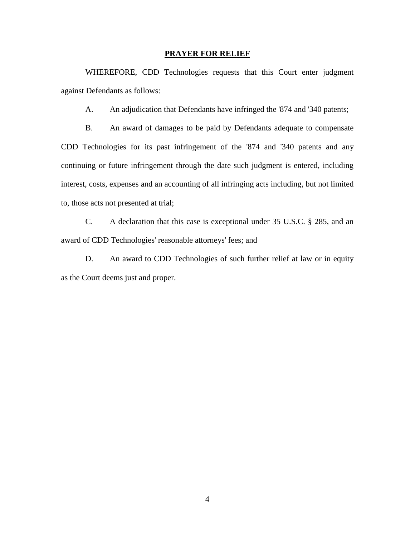### **PRAYER FOR RELIEF**

WHEREFORE, CDD Technologies requests that this Court enter judgment against Defendants as follows:

A. An adjudication that Defendants have infringed the '874 and '340 patents;

B. An award of damages to be paid by Defendants adequate to compensate CDD Technologies for its past infringement of the '874 and '340 patents and any continuing or future infringement through the date such judgment is entered, including interest, costs, expenses and an accounting of all infringing acts including, but not limited to, those acts not presented at trial;

C. A declaration that this case is exceptional under 35 U.S.C. § 285, and an award of CDD Technologies' reasonable attorneys' fees; and

D. An award to CDD Technologies of such further relief at law or in equity as the Court deems just and proper.